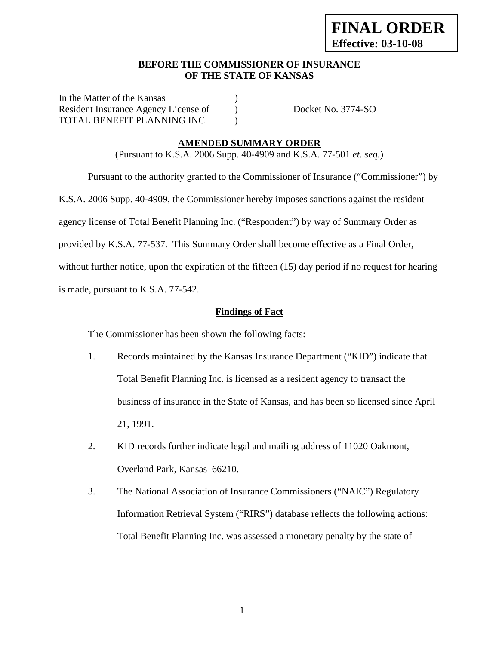## **BEFORE THE COMMISSIONER OF INSURANCE OF THE STATE OF KANSAS**

In the Matter of the Kansas (1) Resident Insurance Agency License of ) Docket No. 3774-SO TOTAL BENEFIT PLANNING INC.

### **AMENDED SUMMARY ORDER**

(Pursuant to K.S.A. 2006 Supp. 40-4909 and K.S.A. 77-501 *et. seq.*)

 Pursuant to the authority granted to the Commissioner of Insurance ("Commissioner") by K.S.A. 2006 Supp. 40-4909, the Commissioner hereby imposes sanctions against the resident agency license of Total Benefit Planning Inc. ("Respondent") by way of Summary Order as provided by K.S.A. 77-537. This Summary Order shall become effective as a Final Order, without further notice, upon the expiration of the fifteen (15) day period if no request for hearing is made, pursuant to K.S.A. 77-542.

## **Findings of Fact**

The Commissioner has been shown the following facts:

- 1. Records maintained by the Kansas Insurance Department ("KID") indicate that Total Benefit Planning Inc. is licensed as a resident agency to transact the business of insurance in the State of Kansas, and has been so licensed since April 21, 1991.
- 2. KID records further indicate legal and mailing address of 11020 Oakmont, Overland Park, Kansas 66210.
- 3. The National Association of Insurance Commissioners ("NAIC") Regulatory Information Retrieval System ("RIRS") database reflects the following actions: Total Benefit Planning Inc. was assessed a monetary penalty by the state of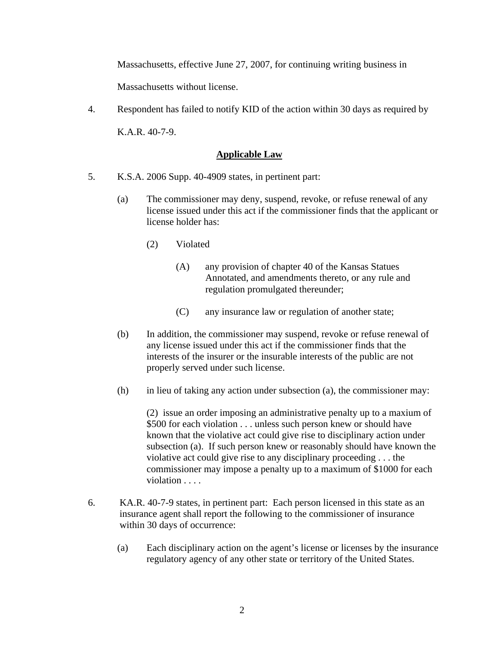Massachusetts, effective June 27, 2007, for continuing writing business in

Massachusetts without license.

4. Respondent has failed to notify KID of the action within 30 days as required by K.A.R. 40-7-9.

### **Applicable Law**

- 5. K.S.A. 2006 Supp. 40-4909 states, in pertinent part:
	- (a) The commissioner may deny, suspend, revoke, or refuse renewal of any license issued under this act if the commissioner finds that the applicant or license holder has:
		- (2) Violated
			- (A) any provision of chapter 40 of the Kansas Statues Annotated, and amendments thereto, or any rule and regulation promulgated thereunder;
			- (C) any insurance law or regulation of another state;
	- (b) In addition, the commissioner may suspend, revoke or refuse renewal of any license issued under this act if the commissioner finds that the interests of the insurer or the insurable interests of the public are not properly served under such license.
	- (h) in lieu of taking any action under subsection (a), the commissioner may:

(2) issue an order imposing an administrative penalty up to a maxium of \$500 for each violation . . . unless such person knew or should have known that the violative act could give rise to disciplinary action under subsection (a). If such person knew or reasonably should have known the violative act could give rise to any disciplinary proceeding . . . the commissioner may impose a penalty up to a maximum of \$1000 for each violation . . . . .

- 6. KA.R. 40-7-9 states, in pertinent part: Each person licensed in this state as an insurance agent shall report the following to the commissioner of insurance within 30 days of occurrence:
	- (a) Each disciplinary action on the agent's license or licenses by the insurance regulatory agency of any other state or territory of the United States.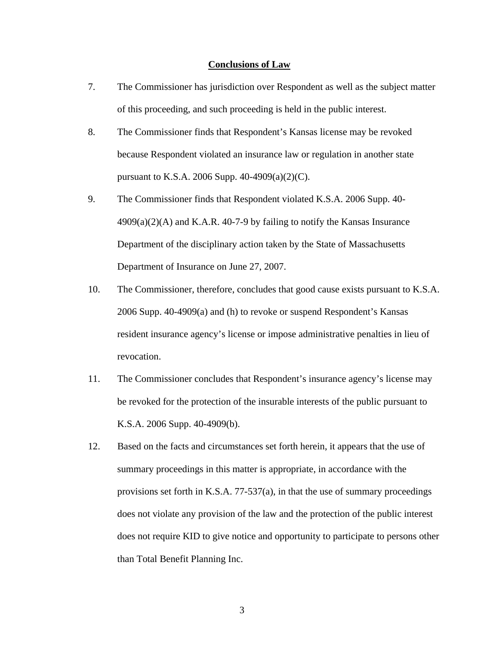#### **Conclusions of Law**

- 7. The Commissioner has jurisdiction over Respondent as well as the subject matter of this proceeding, and such proceeding is held in the public interest.
- 8. The Commissioner finds that Respondent's Kansas license may be revoked because Respondent violated an insurance law or regulation in another state pursuant to K.S.A. 2006 Supp. 40-4909(a)(2)(C).
- 9. The Commissioner finds that Respondent violated K.S.A. 2006 Supp. 40-  $4909(a)(2)$ (A) and K.A.R. 40-7-9 by failing to notify the Kansas Insurance Department of the disciplinary action taken by the State of Massachusetts Department of Insurance on June 27, 2007.
- 10. The Commissioner, therefore, concludes that good cause exists pursuant to K.S.A. 2006 Supp. 40-4909(a) and (h) to revoke or suspend Respondent's Kansas resident insurance agency's license or impose administrative penalties in lieu of revocation.
- 11. The Commissioner concludes that Respondent's insurance agency's license may be revoked for the protection of the insurable interests of the public pursuant to K.S.A. 2006 Supp. 40-4909(b).
- 12. Based on the facts and circumstances set forth herein, it appears that the use of summary proceedings in this matter is appropriate, in accordance with the provisions set forth in K.S.A. 77-537(a), in that the use of summary proceedings does not violate any provision of the law and the protection of the public interest does not require KID to give notice and opportunity to participate to persons other than Total Benefit Planning Inc.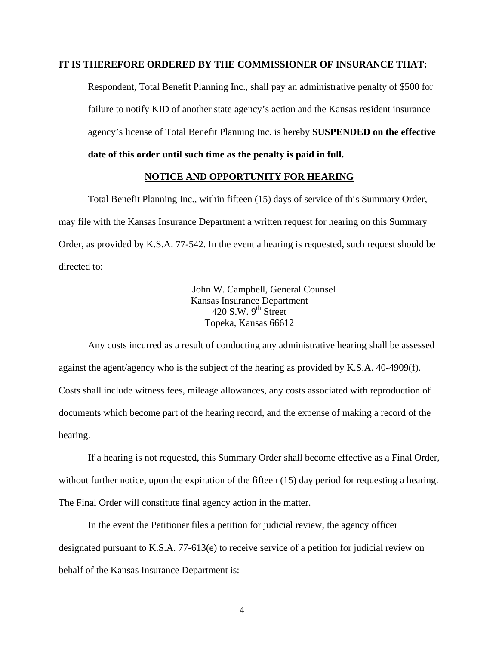## **IT IS THEREFORE ORDERED BY THE COMMISSIONER OF INSURANCE THAT:**

Respondent, Total Benefit Planning Inc., shall pay an administrative penalty of \$500 for failure to notify KID of another state agency's action and the Kansas resident insurance agency's license of Total Benefit Planning Inc. is hereby **SUSPENDED on the effective date of this order until such time as the penalty is paid in full.** 

### **NOTICE AND OPPORTUNITY FOR HEARING**

Total Benefit Planning Inc., within fifteen (15) days of service of this Summary Order, may file with the Kansas Insurance Department a written request for hearing on this Summary Order, as provided by K.S.A. 77-542. In the event a hearing is requested, such request should be directed to:

> John W. Campbell, General Counsel Kansas Insurance Department 420 S.W.  $9<sup>th</sup>$  Street Topeka, Kansas 66612

Any costs incurred as a result of conducting any administrative hearing shall be assessed against the agent/agency who is the subject of the hearing as provided by K.S.A. 40-4909(f). Costs shall include witness fees, mileage allowances, any costs associated with reproduction of documents which become part of the hearing record, and the expense of making a record of the hearing.

If a hearing is not requested, this Summary Order shall become effective as a Final Order, without further notice, upon the expiration of the fifteen (15) day period for requesting a hearing. The Final Order will constitute final agency action in the matter.

In the event the Petitioner files a petition for judicial review, the agency officer designated pursuant to K.S.A. 77-613(e) to receive service of a petition for judicial review on behalf of the Kansas Insurance Department is: